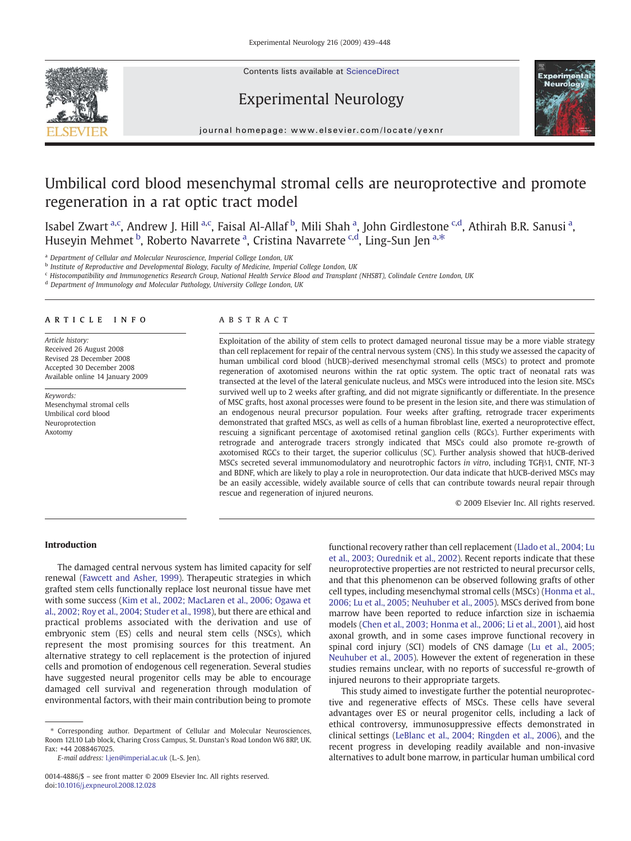Contents lists available at ScienceDirect



Experimental Neurology



journal homepage: www.elsevier.com/locate/yexnr

# Umbilical cord blood mesenchymal stromal cells are neuroprotective and promote regeneration in a rat optic tract model

Isabel Zwart <sup>a,c</sup>, Andrew J. Hill <sup>a,c</sup>, Faisal Al-Allaf <sup>b</sup>, Mili Shah <sup>a</sup>, John Girdlestone <sup>c,d</sup>, Athirah B.R. Sanusi <sup>a</sup>, Huseyin Mehmet <sup>b</sup>, Roberto Navarrete <sup>a</sup>, Cristina Navarrete <sup>c,d</sup>, Ling-Sun Jen <sup>a,\*</sup>

<sup>a</sup> Department of Cellular and Molecular Neuroscience, Imperial College London, UK

<sup>b</sup> Institute of Reproductive and Developmental Biology, Faculty of Medicine, Imperial College London, UK

<sup>c</sup> Histocompatibility and Immunogenetics Research Group, National Health Service Blood and Transplant (NHSBT), Colindale Centre London, UK

<sup>d</sup> Department of Immunology and Molecular Pathology, University College London, UK

# article info abstract

Article history: Received 26 August 2008 Revised 28 December 2008 Accepted 30 December 2008 Available online 14 January 2009

Keywords: Mesenchymal stromal cells Umbilical cord blood Neuroprotection Axotomy

Exploitation of the ability of stem cells to protect damaged neuronal tissue may be a more viable strategy than cell replacement for repair of the central nervous system (CNS). In this study we assessed the capacity of human umbilical cord blood (hUCB)-derived mesenchymal stromal cells (MSCs) to protect and promote regeneration of axotomised neurons within the rat optic system. The optic tract of neonatal rats was transected at the level of the lateral geniculate nucleus, and MSCs were introduced into the lesion site. MSCs survived well up to 2 weeks after grafting, and did not migrate significantly or differentiate. In the presence of MSC grafts, host axonal processes were found to be present in the lesion site, and there was stimulation of an endogenous neural precursor population. Four weeks after grafting, retrograde tracer experiments demonstrated that grafted MSCs, as well as cells of a human fibroblast line, exerted a neuroprotective effect, rescuing a significant percentage of axotomised retinal ganglion cells (RGCs). Further experiments with retrograde and anterograde tracers strongly indicated that MSCs could also promote re-growth of axotomised RGCs to their target, the superior colliculus (SC). Further analysis showed that hUCB-derived MSCs secreted several immunomodulatory and neurotrophic factors in vitro, including TGFβ1, CNTF, NT-3 and BDNF, which are likely to play a role in neuroprotection. Our data indicate that hUCB-derived MSCs may be an easily accessible, widely available source of cells that can contribute towards neural repair through rescue and regeneration of injured neurons.

© 2009 Elsevier Inc. All rights reserved.

# Introduction

The damaged central nervous system has limited capacity for self renewal [\(Fawcett and Asher, 1999\)](#page-9-0). Therapeutic strategies in which grafted stem cells functionally replace lost neuronal tissue have met with some success [\(Kim et al., 2002; MacLaren et al., 2006; Ogawa et](#page-9-0) [al., 2002; Roy et al., 2004; Studer et al., 1998](#page-9-0)), but there are ethical and practical problems associated with the derivation and use of embryonic stem (ES) cells and neural stem cells (NSCs), which represent the most promising sources for this treatment. An alternative strategy to cell replacement is the protection of injured cells and promotion of endogenous cell regeneration. Several studies have suggested neural progenitor cells may be able to encourage damaged cell survival and regeneration through modulation of environmental factors, with their main contribution being to promote

functional recovery rather than cell replacement [\(Llado et al., 2004; Lu](#page-9-0) [et al., 2003; Ourednik et al., 2002\)](#page-9-0). Recent reports indicate that these neuroprotective properties are not restricted to neural precursor cells, and that this phenomenon can be observed following grafts of other cell types, including mesenchymal stromal cells (MSCs) [\(Honma et al.,](#page-9-0) [2006; Lu et al., 2005; Neuhuber et al., 2005](#page-9-0)). MSCs derived from bone marrow have been reported to reduce infarction size in ischaemia models [\(Chen et al., 2003; Honma et al., 2006; Li et al., 2001](#page-9-0)), aid host axonal growth, and in some cases improve functional recovery in spinal cord injury (SCI) models of CNS damage ([Lu et al., 2005;](#page-9-0) [Neuhuber et al., 2005](#page-9-0)). However the extent of regeneration in these studies remains unclear, with no reports of successful re-growth of injured neurons to their appropriate targets.

This study aimed to investigate further the potential neuroprotective and regenerative effects of MSCs. These cells have several advantages over ES or neural progenitor cells, including a lack of ethical controversy, immunosuppressive effects demonstrated in clinical settings [\(LeBlanc et al., 2004; Ringden et al., 2006\)](#page-9-0), and the recent progress in developing readily available and non-invasive alternatives to adult bone marrow, in particular human umbilical cord

<sup>⁎</sup> Corresponding author. Department of Cellular and Molecular Neurosciences, Room 12L10 Lab block, Charing Cross Campus, St. Dunstan's Road London W6 8RP, UK. Fax: +44 2088467025.

E-mail address: [l.jen@imperial.ac.uk](mailto:l.jen@imperial.ac.uk) (L.-S. Jen).

<sup>0014-4886/\$</sup> – see front matter © 2009 Elsevier Inc. All rights reserved. doi:[10.1016/j.expneurol.2008.12.028](http://dx.doi.org/10.1016/j.expneurol.2008.12.028)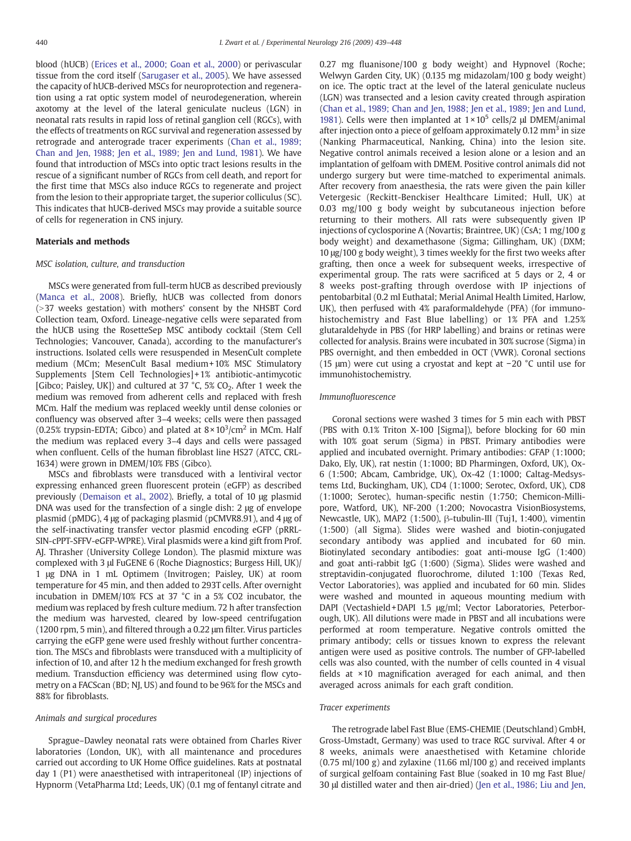blood (hUCB) [\(Erices et al., 2000; Goan et al., 2000](#page-9-0)) or perivascular tissue from the cord itself ([Sarugaser et al., 2005](#page-9-0)). We have assessed the capacity of hUCB-derived MSCs for neuroprotection and regeneration using a rat optic system model of neurodegeneration, wherein axotomy at the level of the lateral geniculate nucleus (LGN) in neonatal rats results in rapid loss of retinal ganglion cell (RGCs), with the effects of treatments on RGC survival and regeneration assessed by retrograde and anterograde tracer experiments [\(Chan et al., 1989;](#page-9-0) [Chan and Jen, 1988; Jen et al., 1989; Jen and Lund, 1981](#page-9-0)). We have found that introduction of MSCs into optic tract lesions results in the rescue of a significant number of RGCs from cell death, and report for the first time that MSCs also induce RGCs to regenerate and project from the lesion to their appropriate target, the superior colliculus (SC). This indicates that hUCB-derived MSCs may provide a suitable source of cells for regeneration in CNS injury.

# Materials and methods

# MSC isolation, culture, and transduction

MSCs were generated from full-term hUCB as described previously ([Manca et al., 2008\)](#page-9-0). Briefly, hUCB was collected from donors  $(>37$  weeks gestation) with mothers' consent by the NHSBT Cord Collection team, Oxford. Lineage-negative cells were separated from the hUCB using the RosetteSep MSC antibody cocktail (Stem Cell Technologies; Vancouver, Canada), according to the manufacturer's instructions. Isolated cells were resuspended in MesenCult complete medium (MCm; MesenCult Basal medium + 10% MSC Stimulatory Supplements [Stem Cell Technologies] + 1% antibiotic-antimycotic [Gibco; Paisley, UK]) and cultured at 37 °C, 5%  $CO<sub>2</sub>$ . After 1 week the medium was removed from adherent cells and replaced with fresh MCm. Half the medium was replaced weekly until dense colonies or confluency was observed after 3–4 weeks; cells were then passaged (0.25% trypsin-EDTA; Gibco) and plated at  $8 \times 10^3$ /cm<sup>2</sup> in MCm. Half the medium was replaced every 3–4 days and cells were passaged when confluent. Cells of the human fibroblast line HS27 (ATCC, CRL-1634) were grown in DMEM/10% FBS (Gibco).

MSCs and fibroblasts were transduced with a lentiviral vector expressing enhanced green fluorescent protein (eGFP) as described previously [\(Demaison et al., 2002](#page-9-0)). Briefly, a total of 10 μg plasmid DNA was used for the transfection of a single dish: 2 μg of envelope plasmid (pMDG), 4 μg of packaging plasmid (pCMVR8.91), and 4 μg of the self-inactivating transfer vector plasmid encoding eGFP (pRRL-SIN-cPPT-SFFV-eGFP-WPRE). Viral plasmids were a kind gift from Prof. AJ. Thrasher (University College London). The plasmid mixture was complexed with 3 μl FuGENE 6 (Roche Diagnostics; Burgess Hill, UK)/ 1 μg DNA in 1 mL Optimem (Invitrogen; Paisley, UK) at room temperature for 45 min, and then added to 293T cells. After overnight incubation in DMEM/10% FCS at 37 °C in a 5% CO2 incubator, the medium was replaced by fresh culture medium. 72 h after transfection the medium was harvested, cleared by low-speed centrifugation (1200 rpm, 5 min), and filtered through a 0.22 μm filter. Virus particles carrying the eGFP gene were used freshly without further concentration. The MSCs and fibroblasts were transduced with a multiplicity of infection of 10, and after 12 h the medium exchanged for fresh growth medium. Transduction efficiency was determined using flow cytometry on a FACScan (BD; NJ, US) and found to be 96% for the MSCs and 88% for fibroblasts.

#### Animals and surgical procedures

Sprague–Dawley neonatal rats were obtained from Charles River laboratories (London, UK), with all maintenance and procedures carried out according to UK Home Office guidelines. Rats at postnatal day 1 (P1) were anaesthetised with intraperitoneal (IP) injections of Hypnorm (VetaPharma Ltd; Leeds, UK) (0.1 mg of fentanyl citrate and

0.27 mg fluanisone/100 g body weight) and Hypnovel (Roche; Welwyn Garden City, UK) (0.135 mg midazolam/100 g body weight) on ice. The optic tract at the level of the lateral geniculate nucleus (LGN) was transected and a lesion cavity created through aspiration ([Chan et al., 1989; Chan and Jen, 1988; Jen et al., 1989; Jen and Lund,](#page-9-0) [1981](#page-9-0)). Cells were then implanted at  $1 \times 10^5$  cells/2  $\mu$ l DMEM/animal after injection onto a piece of gelfoam approximately  $0.12 \text{ mm}^3$  in size (Nanking Pharmaceutical, Nanking, China) into the lesion site. Negative control animals received a lesion alone or a lesion and an implantation of gelfoam with DMEM. Positive control animals did not undergo surgery but were time-matched to experimental animals. After recovery from anaesthesia, the rats were given the pain killer Vetergesic (Reckitt-Benckiser Healthcare Limited; Hull, UK) at 0.03 mg/100 g body weight by subcutaneous injection before returning to their mothers. All rats were subsequently given IP injections of cyclosporine A (Novartis; Braintree, UK) (CsA; 1 mg/100 g body weight) and dexamethasone (Sigma; Gillingham, UK) (DXM; 10 μg/100 g body weight), 3 times weekly for the first two weeks after grafting, then once a week for subsequent weeks, irrespective of experimental group. The rats were sacrificed at 5 days or 2, 4 or 8 weeks post-grafting through overdose with IP injections of pentobarbital (0.2 ml Euthatal; Merial Animal Health Limited, Harlow, UK), then perfused with 4% paraformaldehyde (PFA) (for immunohistochemistry and Fast Blue labelling) or 1% PFA and 1.25% glutaraldehyde in PBS (for HRP labelling) and brains or retinas were collected for analysis. Brains were incubated in 30% sucrose (Sigma) in PBS overnight, and then embedded in OCT (VWR). Coronal sections (15 μm) were cut using a cryostat and kept at −20 °C until use for immunohistochemistry.

# Immunofluorescence

Coronal sections were washed 3 times for 5 min each with PBST (PBS with 0.1% Triton X-100 [Sigma]), before blocking for 60 min with 10% goat serum (Sigma) in PBST. Primary antibodies were applied and incubated overnight. Primary antibodies: GFAP (1:1000; Dako, Ely, UK), rat nestin (1:1000; BD Pharmingen, Oxford, UK), Ox-6 (1:500; Abcam, Cambridge, UK), Ox-42 (1:1000; Caltag-Medsystems Ltd, Buckingham, UK), CD4 (1:1000; Serotec, Oxford, UK), CD8 (1:1000; Serotec), human-specific nestin (1:750; Chemicon-Millipore, Watford, UK), NF-200 (1:200; Novocastra VisionBiosystems, Newcastle, UK), MAP2 (1:500), β-tubulin-III (Tuj1, 1:400), vimentin (1:500) (all Sigma). Slides were washed and biotin-conjugated secondary antibody was applied and incubated for 60 min. Biotinylated secondary antibodies: goat anti-mouse IgG (1:400) and goat anti-rabbit IgG (1:600) (Sigma). Slides were washed and streptavidin-conjugated fluorochrome, diluted 1:100 (Texas Red, Vector Laboratories), was applied and incubated for 60 min. Slides were washed and mounted in aqueous mounting medium with DAPI (Vectashield +DAPI 1.5 μg/ml; Vector Laboratories, Peterborough, UK). All dilutions were made in PBST and all incubations were performed at room temperature. Negative controls omitted the primary antibody; cells or tissues known to express the relevant antigen were used as positive controls. The number of GFP-labelled cells was also counted, with the number of cells counted in 4 visual fields at ×10 magnification averaged for each animal, and then averaged across animals for each graft condition.

# Tracer experiments

The retrograde label Fast Blue (EMS-CHEMIE (Deutschland) GmbH, Gross-Umstadt, Germany) was used to trace RGC survival. After 4 or 8 weeks, animals were anaesthetised with Ketamine chloride  $(0.75 \text{ ml}/100 \text{ g})$  and zylaxine  $(11.66 \text{ ml}/100 \text{ g})$  and received implants of surgical gelfoam containing Fast Blue (soaked in 10 mg Fast Blue/ 30 μl distilled water and then air-dried) [\(Jen et al., 1986; Liu and Jen,](#page-9-0)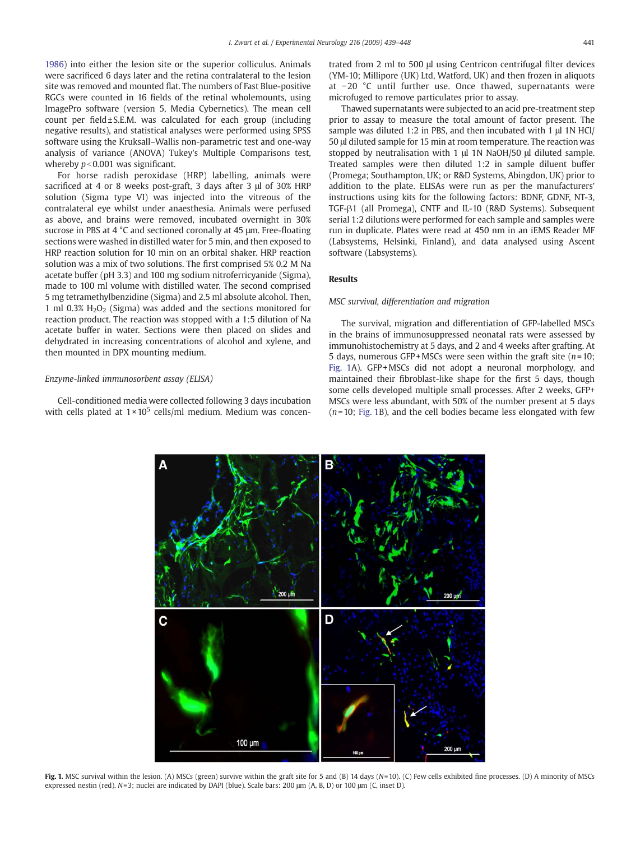<span id="page-2-0"></span>[1986](#page-9-0)) into either the lesion site or the superior colliculus. Animals were sacrificed 6 days later and the retina contralateral to the lesion site was removed and mounted flat. The numbers of Fast Blue-positive RGCs were counted in 16 fields of the retinal wholemounts, using ImagePro software (version 5, Media Cybernetics). The mean cell count per field  $\pm$  S.E.M. was calculated for each group (including negative results), and statistical analyses were performed using SPSS software using the Kruksall–Wallis non-parametric test and one-way analysis of variance (ANOVA) Tukey's Multiple Comparisons test, whereby  $p<0.001$  was significant.

For horse radish peroxidase (HRP) labelling, animals were sacrificed at 4 or 8 weeks post-graft, 3 days after 3 μl of 30% HRP solution (Sigma type VI) was injected into the vitreous of the contralateral eye whilst under anaesthesia. Animals were perfused as above, and brains were removed, incubated overnight in 30% sucrose in PBS at 4 °C and sectioned coronally at 45 μm. Free-floating sections were washed in distilled water for 5 min, and then exposed to HRP reaction solution for 10 min on an orbital shaker. HRP reaction solution was a mix of two solutions. The first comprised 5% 0.2 M Na acetate buffer (pH 3.3) and 100 mg sodium nitroferricyanide (Sigma), made to 100 ml volume with distilled water. The second comprised 5 mg tetramethylbenzidine (Sigma) and 2.5 ml absolute alcohol. Then, 1 ml  $0.3\%$  H<sub>2</sub>O<sub>2</sub> (Sigma) was added and the sections monitored for reaction product. The reaction was stopped with a 1:5 dilution of Na acetate buffer in water. Sections were then placed on slides and dehydrated in increasing concentrations of alcohol and xylene, and then mounted in DPX mounting medium.

# Enzyme-linked immunosorbent assay (ELISA)

Cell-conditioned media were collected following 3 days incubation with cells plated at  $1 \times 10^5$  cells/ml medium. Medium was concentrated from 2 ml to 500 μl using Centricon centrifugal filter devices (YM-10; Millipore (UK) Ltd, Watford, UK) and then frozen in aliquots at −20 °C until further use. Once thawed, supernatants were microfuged to remove particulates prior to assay.

Thawed supernatants were subjected to an acid pre-treatment step prior to assay to measure the total amount of factor present. The sample was diluted 1:2 in PBS, and then incubated with 1 μl 1N HCl/ 50 μl diluted sample for 15 min at room temperature. The reaction was stopped by neutralisation with 1 μl 1N NaOH/50 μl diluted sample. Treated samples were then diluted 1:2 in sample diluent buffer (Promega; Southampton, UK; or R&D Systems, Abingdon, UK) prior to addition to the plate. ELISAs were run as per the manufacturers' instructions using kits for the following factors: BDNF, GDNF, NT-3, TGF-β1 (all Promega), CNTF and IL-10 (R&D Systems). Subsequent serial 1:2 dilutions were performed for each sample and samples were run in duplicate. Plates were read at 450 nm in an iEMS Reader MF (Labsystems, Helsinki, Finland), and data analysed using Ascent software (Labsystems).

# Results

# MSC survival, differentiation and migration

The survival, migration and differentiation of GFP-labelled MSCs in the brains of immunosuppressed neonatal rats were assessed by immunohistochemistry at 5 days, and 2 and 4 weeks after grafting. At 5 days, numerous GFP + MSCs were seen within the graft site  $(n = 10;$ Fig. 1A). GFP+MSCs did not adopt a neuronal morphology, and maintained their fibroblast-like shape for the first 5 days, though some cells developed multiple small processes. After 2 weeks, GFP+ MSCs were less abundant, with 50% of the number present at 5 days  $(n=10;$  Fig. 1B), and the cell bodies became less elongated with few



Fig. 1. MSC survival within the lesion. (A) MSCs (green) survive within the graft site for 5 and (B) 14 days (N=10). (C) Few cells exhibited fine processes. (D) A minority of MSCs expressed nestin (red). N= 3; nuclei are indicated by DAPI (blue). Scale bars: 200 μm (A, B, D) or 100 μm (C, inset D).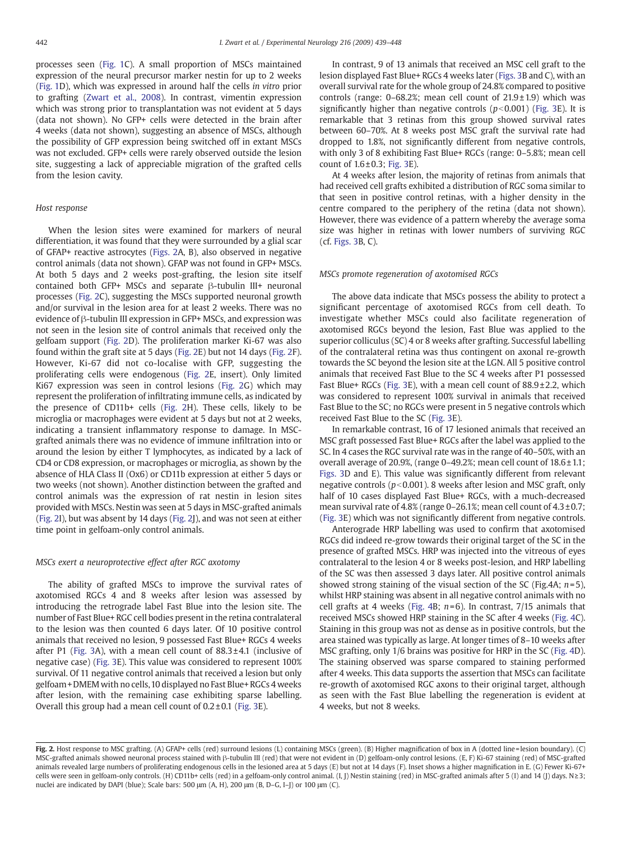processes seen ([Fig. 1C](#page-2-0)). A small proportion of MSCs maintained expression of the neural precursor marker nestin for up to 2 weeks ([Fig. 1](#page-2-0)D), which was expressed in around half the cells in vitro prior to grafting ([Zwart et al., 2008\)](#page-9-0). In contrast, vimentin expression which was strong prior to transplantation was not evident at 5 days (data not shown). No GFP+ cells were detected in the brain after 4 weeks (data not shown), suggesting an absence of MSCs, although the possibility of GFP expression being switched off in extant MSCs was not excluded. GFP+ cells were rarely observed outside the lesion site, suggesting a lack of appreciable migration of the grafted cells from the lesion cavity.

### Host response

When the lesion sites were examined for markers of neural differentiation, it was found that they were surrounded by a glial scar of GFAP+ reactive astrocytes (Figs. 2A, B), also observed in negative control animals (data not shown). GFAP was not found in GFP+ MSCs. At both 5 days and 2 weeks post-grafting, the lesion site itself contained both GFP+ MSCs and separate β-tubulin III+ neuronal processes (Fig. 2C), suggesting the MSCs supported neuronal growth and/or survival in the lesion area for at least 2 weeks. There was no evidence of β-tubulin III expression in GFP+ MSCs, and expression was not seen in the lesion site of control animals that received only the gelfoam support (Fig. 2D). The proliferation marker Ki-67 was also found within the graft site at 5 days (Fig. 2E) but not 14 days (Fig. 2F). However, Ki-67 did not co-localise with GFP, suggesting the proliferating cells were endogenous (Fig. 2E, insert). Only limited Ki67 expression was seen in control lesions (Fig. 2G) which may represent the proliferation of infiltrating immune cells, as indicated by the presence of CD11b+ cells (Fig. 2H). These cells, likely to be microglia or macrophages were evident at 5 days but not at 2 weeks, indicating a transient inflammatory response to damage. In MSCgrafted animals there was no evidence of immune infiltration into or around the lesion by either T lymphocytes, as indicated by a lack of CD4 or CD8 expression, or macrophages or microglia, as shown by the absence of HLA Class II (Ox6) or CD11b expression at either 5 days or two weeks (not shown). Another distinction between the grafted and control animals was the expression of rat nestin in lesion sites provided with MSCs. Nestin was seen at 5 days in MSC-grafted animals (Fig. 2I), but was absent by 14 days (Fig. 2J), and was not seen at either time point in gelfoam-only control animals.

#### MSCs exert a neuroprotective effect after RGC axotomy

The ability of grafted MSCs to improve the survival rates of axotomised RGCs 4 and 8 weeks after lesion was assessed by introducing the retrograde label Fast Blue into the lesion site. The number of Fast Blue+ RGC cell bodies present in the retina contralateral to the lesion was then counted 6 days later. Of 10 positive control animals that received no lesion, 9 possessed Fast Blue+ RGCs 4 weeks after P1 [\(Fig. 3A](#page-5-0)), with a mean cell count of  $88.3 \pm 4.1$  (inclusive of negative case) ([Fig. 3](#page-5-0)E). This value was considered to represent 100% survival. Of 11 negative control animals that received a lesion but only gelfoam + DMEM with no cells,10 displayed no Fast Blue+ RGCs 4 weeks after lesion, with the remaining case exhibiting sparse labelling. Overall this group had a mean cell count of  $0.2 \pm 0.1$  ([Fig. 3E](#page-5-0)).

In contrast, 9 of 13 animals that received an MSC cell graft to the lesion displayed Fast Blue+ RGCs 4 weeks later ([Figs. 3B](#page-5-0) and C), with an overall survival rate for the whole group of 24.8% compared to positive controls (range:  $0-68.2\%$ ; mean cell count of  $21.9\pm1.9$ ) which was significantly higher than negative controls  $(p<0.001)$  ([Fig. 3E](#page-5-0)). It is remarkable that 3 retinas from this group showed survival rates between 60–70%. At 8 weeks post MSC graft the survival rate had dropped to 1.8%, not significantly different from negative controls, with only 3 of 8 exhibiting Fast Blue+ RGCs (range: 0–5.8%; mean cell count of  $1.6 \pm 0.3$ ; [Fig. 3E](#page-5-0)).

At 4 weeks after lesion, the majority of retinas from animals that had received cell grafts exhibited a distribution of RGC soma similar to that seen in positive control retinas, with a higher density in the centre compared to the periphery of the retina (data not shown). However, there was evidence of a pattern whereby the average soma size was higher in retinas with lower numbers of surviving RGC (cf. [Figs. 3](#page-5-0)B, C).

# MSCs promote regeneration of axotomised RGCs

The above data indicate that MSCs possess the ability to protect a significant percentage of axotomised RGCs from cell death. To investigate whether MSCs could also facilitate regeneration of axotomised RGCs beyond the lesion, Fast Blue was applied to the superior colliculus (SC) 4 or 8 weeks after grafting. Successful labelling of the contralateral retina was thus contingent on axonal re-growth towards the SC beyond the lesion site at the LGN. All 5 positive control animals that received Fast Blue to the SC 4 weeks after P1 possessed Fast Blue+ RGCs [\(Fig. 3E](#page-5-0)), with a mean cell count of 88.9 ± 2.2, which was considered to represent 100% survival in animals that received Fast Blue to the SC; no RGCs were present in 5 negative controls which received Fast Blue to the SC ([Fig. 3](#page-5-0)E).

In remarkable contrast, 16 of 17 lesioned animals that received an MSC graft possessed Fast Blue+ RGCs after the label was applied to the SC. In 4 cases the RGC survival rate was in the range of 40–50%, with an overall average of 20.9%, (range 0–49.2%; mean cell count of  $18.6 \pm 1.1$ ; [Figs. 3](#page-5-0)D and E). This value was significantly different from relevant negative controls ( $p<0.001$ ). 8 weeks after lesion and MSC graft, only half of 10 cases displayed Fast Blue+ RGCs, with a much-decreased mean survival rate of 4.8% (range 0-26.1%; mean cell count of  $4.3 \pm 0.7$ ; ([Fig. 3](#page-5-0)E) which was not significantly different from negative controls.

Anterograde HRP labelling was used to confirm that axotomised RGCs did indeed re-grow towards their original target of the SC in the presence of grafted MSCs. HRP was injected into the vitreous of eyes contralateral to the lesion 4 or 8 weeks post-lesion, and HRP labelling of the SC was then assessed 3 days later. All positive control animals showed strong staining of the visual section of the SC (Fig.4A;  $n=5$ ), whilst HRP staining was absent in all negative control animals with no cell grafts at 4 weeks [\(Fig. 4B](#page-6-0);  $n=6$ ). In contrast, 7/15 animals that received MSCs showed HRP staining in the SC after 4 weeks [\(Fig. 4](#page-6-0)C). Staining in this group was not as dense as in positive controls, but the area stained was typically as large. At longer times of 8–10 weeks after MSC grafting, only 1/6 brains was positive for HRP in the SC [\(Fig. 4](#page-6-0)D). The staining observed was sparse compared to staining performed after 4 weeks. This data supports the assertion that MSCs can facilitate re-growth of axotomised RGC axons to their original target, although as seen with the Fast Blue labelling the regeneration is evident at 4 weeks, but not 8 weeks.

Fig. 2. Host response to MSC grafting. (A) GFAP+ cells (red) surround lesions (L) containing MSCs (green). (B) Higher magnification of box in A (dotted line = lesion boundary). (C) MSC-grafted animals showed neuronal process stained with β-tubulin III (red) that were not evident in (D) gelfoam-only control lesions. (E, F) Ki-67 staining (red) of MSC-grafted animals revealed large numbers of proliferating endogenous cells in the lesioned area at 5 days (E) but not at 14 days (F). Inset shows a higher magnification in E. (G) Fewer Ki-67+ cells were seen in gelfoam-only controls. (H) CD11b+ cells (red) in a gelfoam-only control animal. (I, J) Nestin staining (red) in MSC-grafted animals after 5 (I) and 14 (J) days. N≥3; nuclei are indicated by DAPI (blue); Scale bars: 500 μm (A, H), 200 μm (B, D–G, I–J) or 100 μm (C).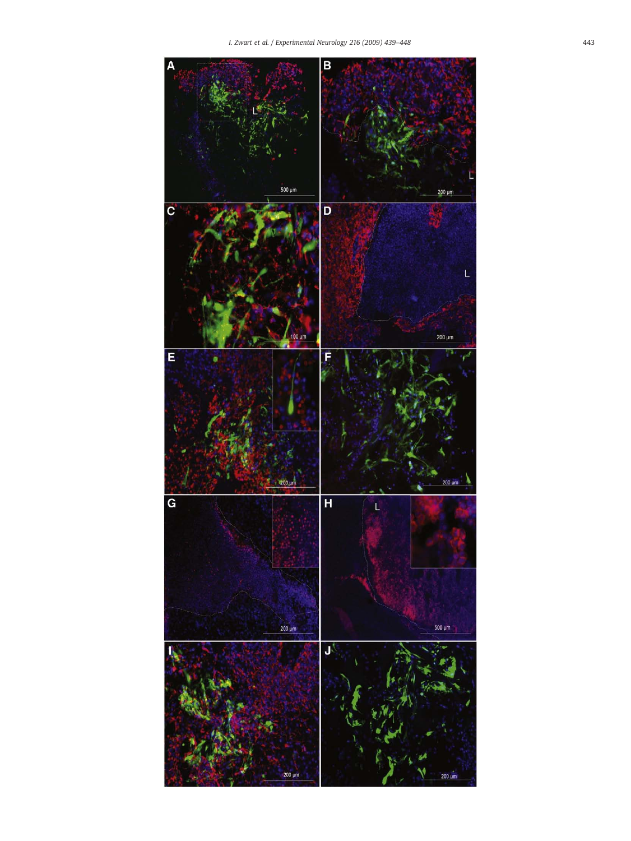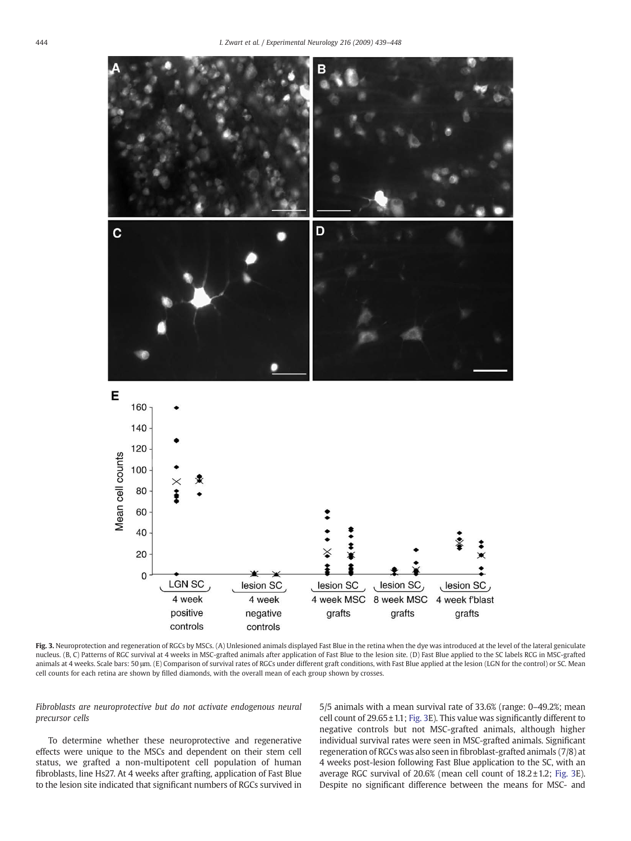<span id="page-5-0"></span>

Fig. 3. Neuroprotection and regeneration of RGCs by MSCs. (A) Unlesioned animals displayed Fast Blue in the retina when the dye was introduced at the level of the lateral geniculate nucleus. (B, C) Patterns of RGC survival at 4 weeks in MSC-grafted animals after application of Fast Blue to the lesion site. (D) Fast Blue applied to the SC labels RCG in MSC-grafted animals at 4 weeks. Scale bars: 50 µm. (E) Comparison of survival rates of RGCs under different graft conditions, with Fast Blue applied at the lesion (LGN for the control) or SC. Mean cell counts for each retina are shown by filled diamonds, with the overall mean of each group shown by crosses.

Fibroblasts are neuroprotective but do not activate endogenous neural precursor cells

To determine whether these neuroprotective and regenerative effects were unique to the MSCs and dependent on their stem cell status, we grafted a non-multipotent cell population of human fibroblasts, line Hs27. At 4 weeks after grafting, application of Fast Blue to the lesion site indicated that significant numbers of RGCs survived in 5/5 animals with a mean survival rate of 33.6% (range: 0–49.2%; mean cell count of  $29.65 \pm 1.1$ ; Fig. 3E). This value was significantly different to negative controls but not MSC-grafted animals, although higher individual survival rates were seen in MSC-grafted animals. Significant regeneration of RGCs was also seen in fibroblast-grafted animals (7/8) at 4 weeks post-lesion following Fast Blue application to the SC, with an average RGC survival of  $20.6%$  (mean cell count of  $18.2 \pm 1.2$ ; Fig. 3E). Despite no significant difference between the means for MSC- and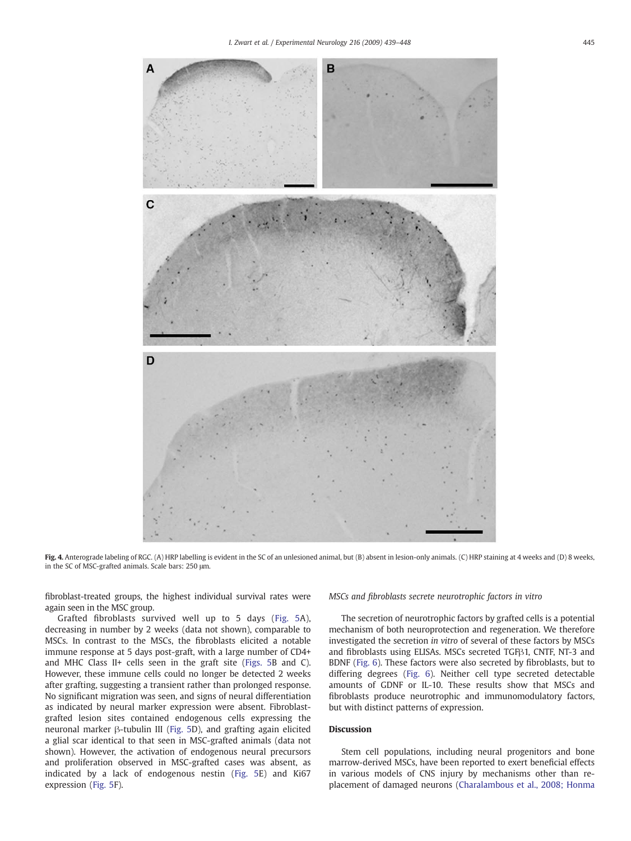<span id="page-6-0"></span>

Fig. 4. Anterograde labeling of RGC. (A) HRP labelling is evident in the SC of an unlesioned animal, but (B) absent in lesion-only animals. (C) HRP staining at 4 weeks and (D) 8 weeks, in the SC of MSC-grafted animals. Scale bars: 250 μm.

fibroblast-treated groups, the highest individual survival rates were again seen in the MSC group.

Grafted fibroblasts survived well up to 5 days ([Fig. 5](#page-7-0)A), decreasing in number by 2 weeks (data not shown), comparable to MSCs. In contrast to the MSCs, the fibroblasts elicited a notable immune response at 5 days post-graft, with a large number of CD4+ and MHC Class II+ cells seen in the graft site ([Figs. 5B](#page-7-0) and C). However, these immune cells could no longer be detected 2 weeks after grafting, suggesting a transient rather than prolonged response. No significant migration was seen, and signs of neural differentiation as indicated by neural marker expression were absent. Fibroblastgrafted lesion sites contained endogenous cells expressing the neuronal marker β-tubulin III [\(Fig. 5D](#page-7-0)), and grafting again elicited a glial scar identical to that seen in MSC-grafted animals (data not shown). However, the activation of endogenous neural precursors and proliferation observed in MSC-grafted cases was absent, as indicated by a lack of endogenous nestin [\(Fig. 5](#page-7-0)E) and Ki67 expression ([Fig. 5F](#page-7-0)).

# MSCs and fibroblasts secrete neurotrophic factors in vitro

The secretion of neurotrophic factors by grafted cells is a potential mechanism of both neuroprotection and regeneration. We therefore investigated the secretion in vitro of several of these factors by MSCs and fibroblasts using ELISAs. MSCs secreted TGFβ1, CNTF, NT-3 and BDNF ([Fig. 6](#page-7-0)). These factors were also secreted by fibroblasts, but to differing degrees ([Fig. 6](#page-7-0)). Neither cell type secreted detectable amounts of GDNF or IL-10. These results show that MSCs and fibroblasts produce neurotrophic and immunomodulatory factors, but with distinct patterns of expression.

# **Discussion**

Stem cell populations, including neural progenitors and bone marrow-derived MSCs, have been reported to exert beneficial effects in various models of CNS injury by mechanisms other than replacement of damaged neurons [\(Charalambous et al., 2008; Honma](#page-9-0)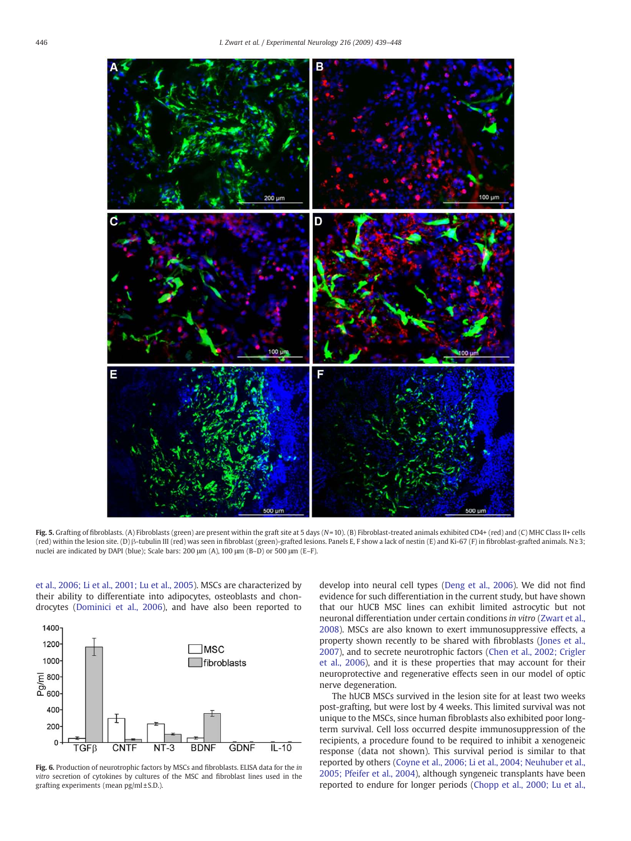<span id="page-7-0"></span>

Fig. 5. Grafting of fibroblasts. (A) Fibroblasts (green) are present within the graft site at 5 days (N=10). (B) Fibroblast-treated animals exhibited CD4+ (red) and (C) MHC Class II+ cells (red) within the lesion site. (D) β-tubulin III (red) was seen in fibroblast (green)-grafted lesions. Panels E, F show a lack of nestin (E) and Ki-67 (F) in fibroblast-grafted animals. N≥3; nuclei are indicated by DAPI (blue); Scale bars: 200 μm (A), 100 μm (B–D) or 500 μm (E–F).

[et al., 2006; Li et al., 2001; Lu et al., 2005\)](#page-9-0). MSCs are characterized by their ability to differentiate into adipocytes, osteoblasts and chondrocytes [\(Dominici et al., 2006](#page-9-0)), and have also been reported to



Fig. 6. Production of neurotrophic factors by MSCs and fibroblasts. ELISA data for the in vitro secretion of cytokines by cultures of the MSC and fibroblast lines used in the grafting experiments (mean  $pg/ml \pm S.D.$ ).

develop into neural cell types ([Deng et al., 2006](#page-9-0)). We did not find evidence for such differentiation in the current study, but have shown that our hUCB MSC lines can exhibit limited astrocytic but not neuronal differentiation under certain conditions in vitro ([Zwart et al.,](#page-9-0) [2008](#page-9-0)). MSCs are also known to exert immunosuppressive effects, a property shown recently to be shared with fibroblasts [\(Jones et al.,](#page-9-0) [2007](#page-9-0)), and to secrete neurotrophic factors ([Chen et al., 2002; Crigler](#page-9-0) [et al., 2006\)](#page-9-0), and it is these properties that may account for their neuroprotective and regenerative effects seen in our model of optic nerve degeneration.

The hUCB MSCs survived in the lesion site for at least two weeks post-grafting, but were lost by 4 weeks. This limited survival was not unique to the MSCs, since human fibroblasts also exhibited poor longterm survival. Cell loss occurred despite immunosuppression of the recipients, a procedure found to be required to inhibit a xenogeneic response (data not shown). This survival period is similar to that reported by others [\(Coyne et al., 2006; Li et al., 2004; Neuhuber et al.,](#page-9-0) [2005; Pfeifer et al., 2004\)](#page-9-0), although syngeneic transplants have been reported to endure for longer periods [\(Chopp et al., 2000; Lu et al.,](#page-9-0)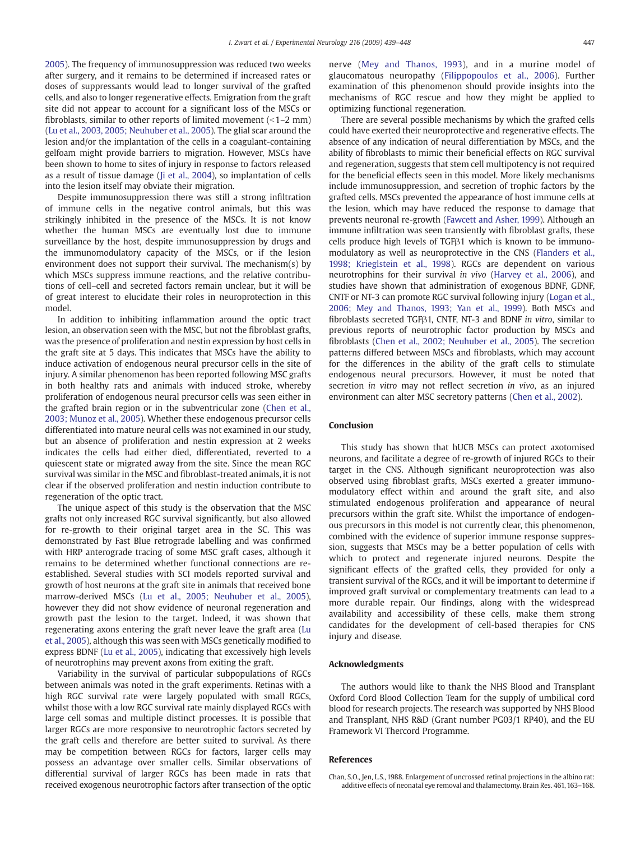[2005](#page-9-0)). The frequency of immunosuppression was reduced two weeks after surgery, and it remains to be determined if increased rates or doses of suppressants would lead to longer survival of the grafted cells, and also to longer regenerative effects. Emigration from the graft site did not appear to account for a significant loss of the MSCs or fibroblasts, similar to other reports of limited movement  $(-1-2$  mm) ([Lu et al., 2003, 2005; Neuhuber et al., 2005\)](#page-9-0). The glial scar around the lesion and/or the implantation of the cells in a coagulant-containing gelfoam might provide barriers to migration. However, MSCs have been shown to home to sites of injury in response to factors released as a result of tissue damage [\(Ji et al., 2004\)](#page-9-0), so implantation of cells into the lesion itself may obviate their migration.

Despite immunosuppression there was still a strong infiltration of immune cells in the negative control animals, but this was strikingly inhibited in the presence of the MSCs. It is not know whether the human MSCs are eventually lost due to immune surveillance by the host, despite immunosuppression by drugs and the immunomodulatory capacity of the MSCs, or if the lesion environment does not support their survival. The mechanism(s) by which MSCs suppress immune reactions, and the relative contributions of cell–cell and secreted factors remain unclear, but it will be of great interest to elucidate their roles in neuroprotection in this model.

In addition to inhibiting inflammation around the optic tract lesion, an observation seen with the MSC, but not the fibroblast grafts, was the presence of proliferation and nestin expression by host cells in the graft site at 5 days. This indicates that MSCs have the ability to induce activation of endogenous neural precursor cells in the site of injury. A similar phenomenon has been reported following MSC grafts in both healthy rats and animals with induced stroke, whereby proliferation of endogenous neural precursor cells was seen either in the grafted brain region or in the subventricular zone [\(Chen et al.,](#page-9-0) [2003; Munoz et al., 2005](#page-9-0)). Whether these endogenous precursor cells differentiated into mature neural cells was not examined in our study, but an absence of proliferation and nestin expression at 2 weeks indicates the cells had either died, differentiated, reverted to a quiescent state or migrated away from the site. Since the mean RGC survival was similar in the MSC and fibroblast-treated animals, it is not clear if the observed proliferation and nestin induction contribute to regeneration of the optic tract.

The unique aspect of this study is the observation that the MSC grafts not only increased RGC survival significantly, but also allowed for re-growth to their original target area in the SC. This was demonstrated by Fast Blue retrograde labelling and was confirmed with HRP anterograde tracing of some MSC graft cases, although it remains to be determined whether functional connections are reestablished. Several studies with SCI models reported survival and growth of host neurons at the graft site in animals that received bone marrow-derived MSCs [\(Lu et al., 2005; Neuhuber et al., 2005\)](#page-9-0), however they did not show evidence of neuronal regeneration and growth past the lesion to the target. Indeed, it was shown that regenerating axons entering the graft never leave the graft area ([Lu](#page-9-0) [et al., 2005](#page-9-0)), although this was seen with MSCs genetically modified to express BDNF ([Lu et al., 2005](#page-9-0)), indicating that excessively high levels of neurotrophins may prevent axons from exiting the graft.

Variability in the survival of particular subpopulations of RGCs between animals was noted in the graft experiments. Retinas with a high RGC survival rate were largely populated with small RGCs, whilst those with a low RGC survival rate mainly displayed RGCs with large cell somas and multiple distinct processes. It is possible that larger RGCs are more responsive to neurotrophic factors secreted by the graft cells and therefore are better suited to survival. As there may be competition between RGCs for factors, larger cells may possess an advantage over smaller cells. Similar observations of differential survival of larger RGCs has been made in rats that received exogenous neurotrophic factors after transection of the optic

nerve [\(Mey and Thanos, 1993\)](#page-9-0), and in a murine model of glaucomatous neuropathy ([Filippopoulos et al., 2006](#page-9-0)). Further examination of this phenomenon should provide insights into the mechanisms of RGC rescue and how they might be applied to optimizing functional regeneration.

There are several possible mechanisms by which the grafted cells could have exerted their neuroprotective and regenerative effects. The absence of any indication of neural differentiation by MSCs, and the ability of fibroblasts to mimic their beneficial effects on RGC survival and regeneration, suggests that stem cell multipotency is not required for the beneficial effects seen in this model. More likely mechanisms include immunosuppression, and secretion of trophic factors by the grafted cells. MSCs prevented the appearance of host immune cells at the lesion, which may have reduced the response to damage that prevents neuronal re-growth ([Fawcett and Asher, 1999\)](#page-9-0). Although an immune infiltration was seen transiently with fibroblast grafts, these cells produce high levels of TGFβ1 which is known to be immunomodulatory as well as neuroprotective in the CNS ([Flanders et al.,](#page-9-0) [1998; Krieglstein et al., 1998\)](#page-9-0). RGCs are dependent on various neurotrophins for their survival in vivo [\(Harvey et al., 2006](#page-9-0)), and studies have shown that administration of exogenous BDNF, GDNF, CNTF or NT-3 can promote RGC survival following injury ([Logan et al.,](#page-9-0) [2006; Mey and Thanos, 1993; Yan et al., 1999\)](#page-9-0). Both MSCs and fibroblasts secreted TGFβ1, CNTF, NT-3 and BDNF in vitro, similar to previous reports of neurotrophic factor production by MSCs and fibroblasts ([Chen et al., 2002; Neuhuber et al., 2005](#page-9-0)). The secretion patterns differed between MSCs and fibroblasts, which may account for the differences in the ability of the graft cells to stimulate endogenous neural precursors. However, it must be noted that secretion in vitro may not reflect secretion in vivo, as an injured environment can alter MSC secretory patterns [\(Chen et al., 2002](#page-9-0)).

# Conclusion

This study has shown that hUCB MSCs can protect axotomised neurons, and facilitate a degree of re-growth of injured RGCs to their target in the CNS. Although significant neuroprotection was also observed using fibroblast grafts, MSCs exerted a greater immunomodulatory effect within and around the graft site, and also stimulated endogenous proliferation and appearance of neural precursors within the graft site. Whilst the importance of endogenous precursors in this model is not currently clear, this phenomenon, combined with the evidence of superior immune response suppression, suggests that MSCs may be a better population of cells with which to protect and regenerate injured neurons. Despite the significant effects of the grafted cells, they provided for only a transient survival of the RGCs, and it will be important to determine if improved graft survival or complementary treatments can lead to a more durable repair. Our findings, along with the widespread availability and accessibility of these cells, make them strong candidates for the development of cell-based therapies for CNS injury and disease.

# Acknowledgments

The authors would like to thank the NHS Blood and Transplant Oxford Cord Blood Collection Team for the supply of umbilical cord blood for research projects. The research was supported by NHS Blood and Transplant, NHS R&D (Grant number PG03/1 RP40), and the EU Framework VI Thercord Programme.

# References

Chan, S.O., Jen, L.S., 1988. Enlargement of uncrossed retinal projections in the albino rat: additive effects of neonatal eye removal and thalamectomy. Brain Res. 461, 163–168.